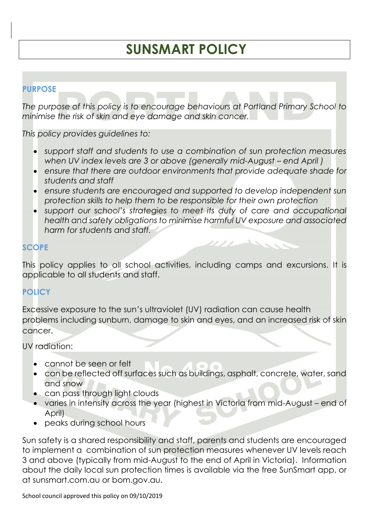# **SUNSMART POLICY**

# **PURPOSE**

*The purpose of this policy is to encourage behaviours at Portland Primary School to minimise the risk of skin and eye damage and skin cancer.*

*This policy provides guidelines to:*

- *support staff and students to use a combination of sun protection measures when UV index levels are 3 or above (generally mid-August – end April)*
- *ensure that there are outdoor environments that provide adequate shade for students and staff*
- *ensure students are encouraged and supported to develop independent sun protection skills to help them to be responsible for their own protection*
- *support our school's strategies to meet its duty of care and occupational health and safety obligations to minimise harmful UV exposure and associated harm for students and staff.*

1111

 $\mathcal{O}_{\mathcal{M}}$ 

#### **SCOPE**

This policy applies to all school activities, including camps and excursions. It is applicable to all students and staff.

## **POLICY**

Excessive exposure to the sun's ultraviolet (UV) radiation can cause health problems including sunburn, damage to skin and eyes, and an increased risk of skin cancer.

UV radiation:

- cannot be seen or felt
- can be reflected off surfaces such as buildings, asphalt, concrete, water, sand and snow
- can pass through light clouds
- varies in intensity across the year (highest in Victoria from mid-August end of April)
- peaks during school hours

Sun safety is a shared responsibility and staff, parents and students are encouraged to implement a combination of sun protection measures whenever UV levels reach 3 and above (typically from mid-August to the end of April in Victoria). Information about the daily local sun protection times is available via the free [SunSmart app,](http://www.sunsmart.com.au/tools/interactive-tools/free-sunsmart-app) or at [sunsmart.com.au](http://www.sunsmart.com.au/) or bom.gov.au.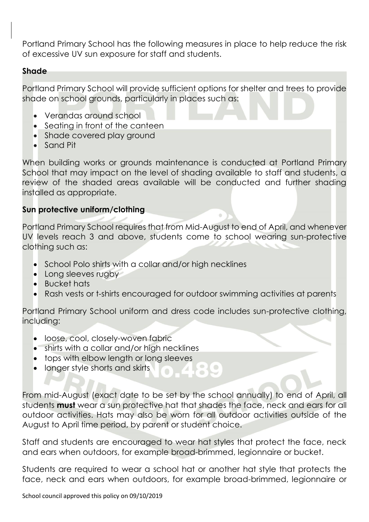Portland Primary School has the following measures in place to help reduce the risk of excessive UV sun exposure for staff and students.

#### **Shade**

Portland Primary School will provide sufficient options for shelter and trees to provide shade on school grounds, particularly in places such as:

- Verandas around school
- Seating in front of the canteen
- Shade covered play ground
- Sand Pit

When building works or grounds maintenance is conducted at Portland Primary School that may impact on the level of shading available to staff and students, a review of the shaded areas available will be conducted and further shading installed as appropriate.

#### **Sun protective uniform/clothing**

Portland Primary School requires that from Mid-August to end of April, and whenever UV levels reach 3 and above, students come to school wearing sun-protective clothing such as:

- School Polo shirts with a collar and/or high necklines
- Long sleeves rugby
- Bucket hats
- Rash vests or t-shirts encouraged for outdoor swimming activities at parents

Portland Primary School uniform and dress code includes sun-protective clothing, including:

- loose, cool, closely-woven fabric
- shirts with a collar and/or high necklines
- tops with elbow length or long sleeves
- longer style shorts and skirts

From mid-August (exact date to be set by the school annually) to end of April, all students **must** wear a sun protective hat that shades the face, neck and ears for all outdoor activities. Hats may also be worn for all outdoor activities outside of the August to April time period, by parent or student choice.

 $\bigcirc$ 

Staff and students are encouraged to wear hat styles that protect the face, neck and ears when outdoors, for example broad-brimmed, legionnaire or bucket.

Students are required to wear a school hat or another hat style that protects the face, neck and ears when outdoors, for example broad-brimmed, legionnaire or